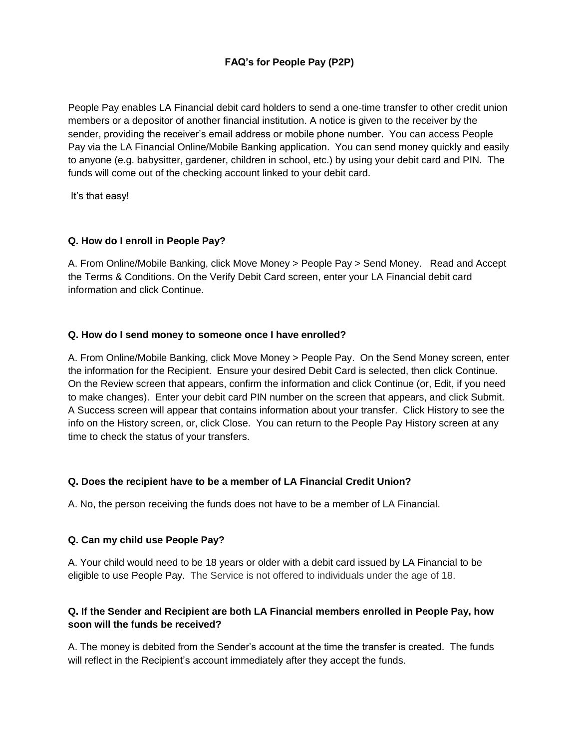# **FAQ's for People Pay (P2P)**

People Pay enables LA Financial debit card holders to send a one-time transfer to other credit union members or a depositor of another financial institution. A notice is given to the receiver by the sender, providing the receiver's email address or mobile phone number. You can access People Pay via the LA Financial Online/Mobile Banking application. You can send money quickly and easily to anyone (e.g. babysitter, gardener, children in school, etc.) by using your debit card and PIN. The funds will come out of the checking account linked to your debit card.

It's that easy!

## **Q. How do I enroll in People Pay?**

A. From Online/Mobile Banking, click Move Money > People Pay > Send Money. Read and Accept the Terms & Conditions. On the Verify Debit Card screen, enter your LA Financial debit card information and click Continue.

#### **Q. How do I send money to someone once I have enrolled?**

A. From Online/Mobile Banking, click Move Money > People Pay. On the Send Money screen, enter the information for the Recipient. Ensure your desired Debit Card is selected, then click Continue. On the Review screen that appears, confirm the information and click Continue (or, Edit, if you need to make changes). Enter your debit card PIN number on the screen that appears, and click Submit. A Success screen will appear that contains information about your transfer. Click History to see the info on the History screen, or, click Close. You can return to the People Pay History screen at any time to check the status of your transfers.

#### **Q. Does the recipient have to be a member of LA Financial Credit Union?**

A. No, the person receiving the funds does not have to be a member of LA Financial.

#### **Q. Can my child use People Pay?**

A. Your child would need to be 18 years or older with a debit card issued by LA Financial to be eligible to use People Pay. The Service is not offered to individuals under the age of 18.

## **Q. If the Sender and Recipient are both LA Financial members enrolled in People Pay, how soon will the funds be received?**

A. The money is debited from the Sender's account at the time the transfer is created. The funds will reflect in the Recipient's account immediately after they accept the funds.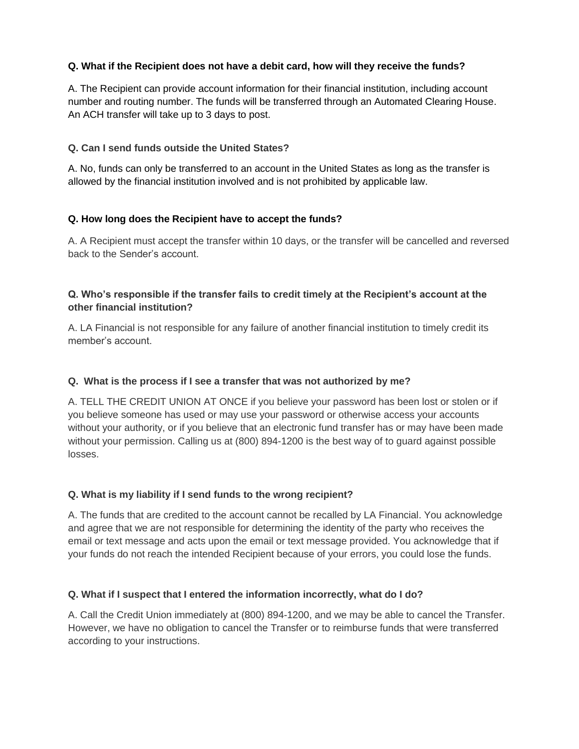## **Q. What if the Recipient does not have a debit card, how will they receive the funds?**

A. The Recipient can provide account information for their financial institution, including account number and routing number. The funds will be transferred through an Automated Clearing House. An ACH transfer will take up to 3 days to post.

## **Q. Can I send funds outside the United States?**

A. No, funds can only be transferred to an account in the United States as long as the transfer is allowed by the financial institution involved and is not prohibited by applicable law.

## **Q. How long does the Recipient have to accept the funds?**

A. A Recipient must accept the transfer within 10 days, or the transfer will be cancelled and reversed back to the Sender's account.

## **Q. Who's responsible if the transfer fails to credit timely at the Recipient's account at the other financial institution?**

A. LA Financial is not responsible for any failure of another financial institution to timely credit its member's account.

#### **Q. What is the process if I see a transfer that was not authorized by me?**

A. TELL THE CREDIT UNION AT ONCE if you believe your password has been lost or stolen or if you believe someone has used or may use your password or otherwise access your accounts without your authority, or if you believe that an electronic fund transfer has or may have been made without your permission. Calling us at (800) 894-1200 is the best way of to guard against possible losses.

#### **Q. What is my liability if I send funds to the wrong recipient?**

A. The funds that are credited to the account cannot be recalled by LA Financial. You acknowledge and agree that we are not responsible for determining the identity of the party who receives the email or text message and acts upon the email or text message provided. You acknowledge that if your funds do not reach the intended Recipient because of your errors, you could lose the funds.

#### **Q. What if I suspect that I entered the information incorrectly, what do I do?**

A. Call the Credit Union immediately at (800) 894-1200, and we may be able to cancel the Transfer. However, we have no obligation to cancel the Transfer or to reimburse funds that were transferred according to your instructions.